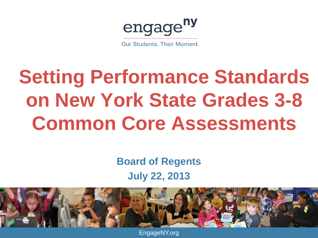engage<sup>ny</sup>

**Our Students, Their Moment.** 

## **Setting Performance Standards on New York State Grades 3-8 Common Core Assessments**

### **Board of Regents July 22, 2013**



EngageNY.org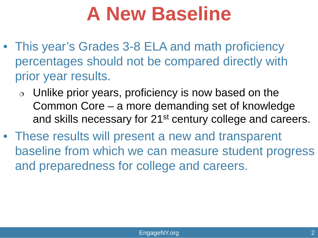### **A New Baseline**

- This year's Grades 3-8 ELA and math proficiency percentages should not be compared directly with prior year results.
	- $\circ$  Unlike prior years, proficiency is now based on the Common Core – a more demanding set of knowledge and skills necessary for 21<sup>st</sup> century college and careers.
- These results will present a new and transparent baseline from which we can measure student progress and preparedness for college and careers.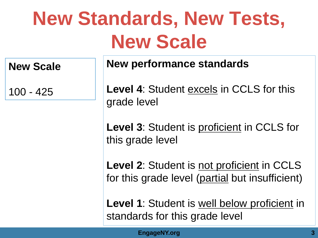## **New Standards, New Tests, New Scale**

**New Scale**

100 - 425

**New performance standards**

**Level 4**: Student excels in CCLS for this grade level

Level 3: Student is proficient in CCLS for this grade level

Level 2: Student is not proficient in CCLS for this grade level (partial but insufficient)

Level 1: Student is well below proficient in standards for this grade level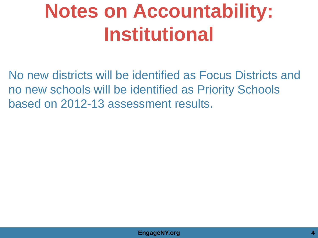## **Notes on Accountability: Institutional**

No new districts will be identified as Focus Districts and no new schools will be identified as Priority Schools based on 2012-13 assessment results.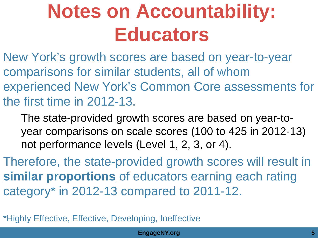### **Notes on Accountability: Educators**

New York's growth scores are based on year-to-year comparisons for similar students, all of whom experienced New York's Common Core assessments for the first time in 2012-13.

The state-provided growth scores are based on year-toyear comparisons on scale scores (100 to 425 in 2012-13) not performance levels (Level 1, 2, 3, or 4).

Therefore, the state-provided growth scores will result in **similar proportions** of educators earning each rating category\* in 2012-13 compared to 2011-12.

\*Highly Effective, Effective, Developing, Ineffective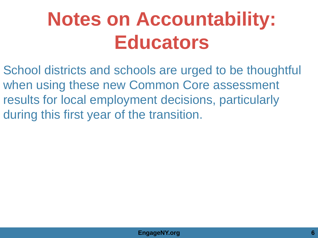## **Notes on Accountability: Educators**

School districts and schools are urged to be thoughtful when using these new Common Core assessment results for local employment decisions, particularly during this first year of the transition.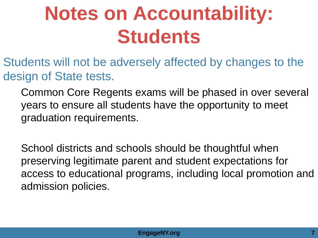## **Notes on Accountability: Students**

Students will not be adversely affected by changes to the design of State tests.

Common Core Regents exams will be phased in over several years to ensure all students have the opportunity to meet graduation requirements.

School districts and schools should be thoughtful when preserving legitimate parent and student expectations for access to educational programs, including local promotion and admission policies.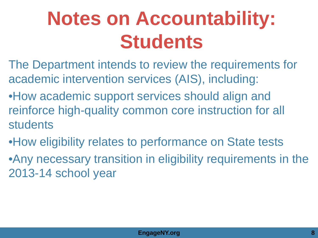## **Notes on Accountability: Students**

- The Department intends to review the requirements for academic intervention services (AIS), including:
- •How academic support services should align and reinforce high-quality common core instruction for all students
- •How eligibility relates to performance on State tests
- •Any necessary transition in eligibility requirements in the 2013-14 school year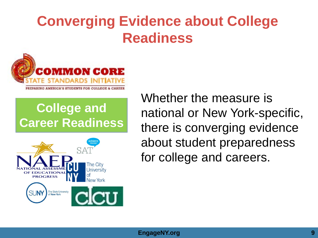### **Converging Evidence about College Readiness**



### **College and Career Readiness**



Whether the measure is national or New York-specific, there is converging evidence about student preparedness for college and careers.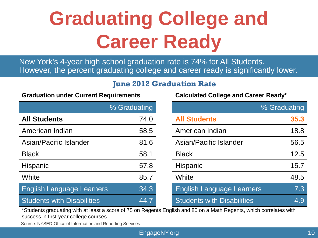## **Graduating College and Career Ready**

#### **June 2012 Graduation Rate**

| Graduation under Current Requirements |
|---------------------------------------|
| % Graduating                          |

|                                   | 70 GIRUURIII IY |                                   | 70 GIROURIII IU |
|-----------------------------------|-----------------|-----------------------------------|-----------------|
| <b>All Students</b>               | 74.0            | <b>All Students</b>               | 35.3            |
| American Indian                   | 58.5            | American Indian                   | 18.8            |
| Asian/Pacific Islander            | 81.6            | Asian/Pacific Islander            | 56.5            |
| <b>Black</b>                      | 58.1            | <b>Black</b>                      | 12.5            |
| <b>Hispanic</b>                   | 57.8            | <b>Hispanic</b>                   | 15.7            |
| White                             | 85.7            | White                             | 48.5            |
| <b>English Language Learners</b>  | 34.3            | <b>English Language Learners</b>  | 7.3             |
| <b>Students with Disabilities</b> | 44.7            | <b>Students with Disabilities</b> | 4.9             |

| New York's 4-year high school graduation rate is 74% for All Students.<br>However, the percent graduating college and career ready is significantly lower.                                                                  |      |                                   |      |  |  |  |
|-----------------------------------------------------------------------------------------------------------------------------------------------------------------------------------------------------------------------------|------|-----------------------------------|------|--|--|--|
| <b>June 2012 Graduation Rate</b><br><b>Graduation under Current Requirements</b><br><b>Calculated College and Career Ready*</b>                                                                                             |      |                                   |      |  |  |  |
| % Graduating<br>% Graduating                                                                                                                                                                                                |      |                                   |      |  |  |  |
| <b>All Students</b>                                                                                                                                                                                                         | 74.0 | <b>All Students</b>               | 35.3 |  |  |  |
| American Indian                                                                                                                                                                                                             | 58.5 | American Indian                   | 18.8 |  |  |  |
| Asian/Pacific Islander                                                                                                                                                                                                      | 81.6 | Asian/Pacific Islander            | 56.5 |  |  |  |
| <b>Black</b>                                                                                                                                                                                                                | 58.1 | <b>Black</b>                      | 12.5 |  |  |  |
| Hispanic                                                                                                                                                                                                                    | 57.8 | <b>Hispanic</b>                   | 15.7 |  |  |  |
| White                                                                                                                                                                                                                       | 85.7 | White                             | 48.5 |  |  |  |
| <b>English Language Learners</b>                                                                                                                                                                                            | 34.3 | <b>English Language Learners</b>  | 7.3  |  |  |  |
| <b>Students with Disabilities</b>                                                                                                                                                                                           | 44.7 | <b>Students with Disabilities</b> | 4.9  |  |  |  |
| *Students graduating with at least a score of 75 on Regents English and 80 on a Math Regents, which correlates with<br>success in first-year college courses.<br>Source: NYSED Office of Information and Reporting Services |      |                                   |      |  |  |  |
| 10<br>EngageNY.org                                                                                                                                                                                                          |      |                                   |      |  |  |  |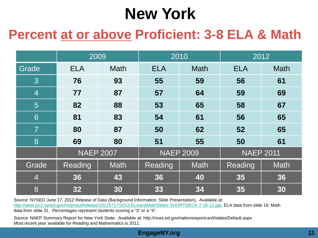### **New York**

### **Percent at or above Proficient: 3-8 ELA & Math**

|                |            | 2009             | 2010             |             | 2012             |             |
|----------------|------------|------------------|------------------|-------------|------------------|-------------|
| Grade          | <b>ELA</b> | <b>Math</b>      | <b>ELA</b>       | <b>Math</b> | <b>ELA</b>       | <b>Math</b> |
| 3              | 76         | 93               | 55               | 59          | 56               | 61          |
| $\overline{4}$ | 77         | 87               | 57               | 64          | 59               | 69          |
| 5              | 82         | 88               | 53               | 65          | 58               | 67          |
| 6              | 81         | 83               | 54               | 61          | 56               | 65          |
| $\overline{7}$ | 80         | 87               | 50               | 62          | 52               | 65          |
| 8              | 69         | 80               | 51               | 55          | 50               | 61          |
|                |            | <b>NAEP 2007</b> | <b>NAEP 2009</b> |             | <b>NAEP 2011</b> |             |
| Grade          | Reading    | <b>Math</b>      | Reading          | <b>Math</b> | Reading          | <b>Math</b> |
| $\overline{4}$ | 36         | 43               | 36               | 40          | 35               | 36          |
| 8              | 32         | 30               | 33               | 34          | 35               | 30          |

Source: NYSED June 17, 2012 Release of Data (Background Information: Slide Presentation). Available at: <http://www.p12.nysed.gov/irs/pressRelease/20120717/2012-ELAandMathSlides-SHORTDECK-7-16-12.ppt>. ELA data from slide 16; Math data from slide 31. Percentages represent students scoring a "3" or a "4".

Source: NAEP Summary Report for New York State. Available at: http://nces.ed.gov/nationsreportcard/states/Default.aspx Most recent year available for Reading and Mathematics is 2011.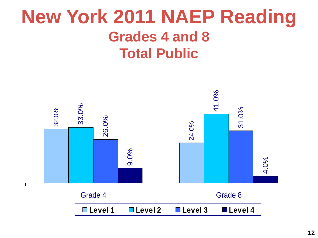### **New York 2011 NAEP Reading Grades 4 and 8 Total Public**

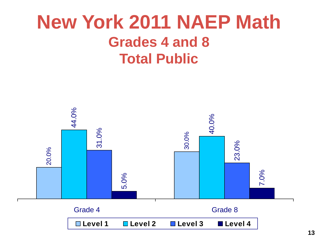### **New York 2011 NAEP Math Grades 4 and 8 Total Public**

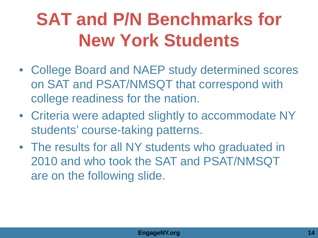### **SAT and P/N Benchmarks for New York Students**

- College Board and NAEP study determined scores on SAT and PSAT/NMSQT that correspond with college readiness for the nation.
- Criteria were adapted slightly to accommodate NY students' course-taking patterns.
- The results for all NY students who graduated in 2010 and who took the SAT and PSAT/NMSQT are on the following slide.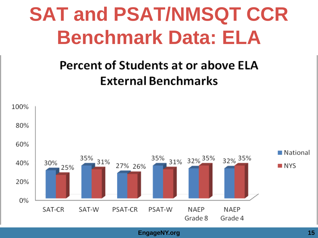## **SAT and PSAT/NMSQT CCR Benchmark Data: ELA**

### Percent of Students at or above ELA **External Benchmarks**

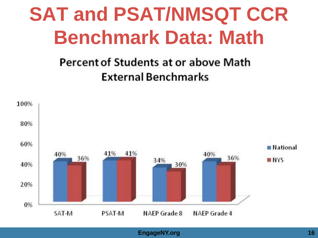## **SAT and PSAT/NMSQT CCR Benchmark Data: Math**

### **Percent of Students at or above Math External Benchmarks**

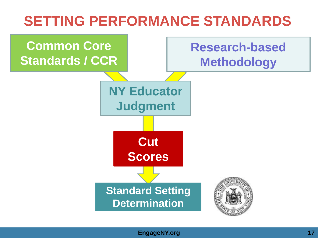### **SETTING PERFORMANCE STANDARDS**

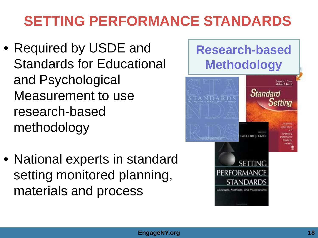### **SETTING PERFORMANCE STANDARDS**

- Required by USDE and Standards for Educational and Psychological Measurement to use research-based methodology
- National experts in standard setting monitored planning, materials and process

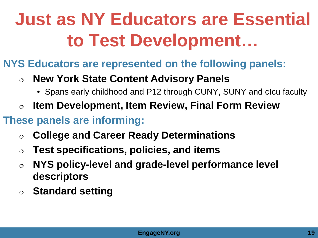### **Just as NY Educators are Essential to Test Development…**

- **NYS Educators are represented on the following panels:**
	- **New York State Content Advisory Panels**
		- Spans early childhood and P12 through CUNY, SUNY and cIcu faculty
	- **Item Development, Item Review, Final Form Review**
- **These panels are informing:** 
	- **College and Career Ready Determinations**
	- **Test specifications, policies, and items**
	- **NYS policy-level and grade-level performance level descriptors**
	- **Standard setting**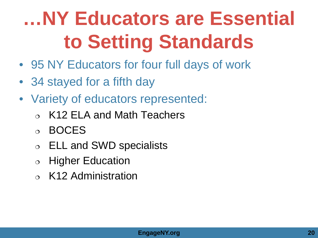## **…NY Educators are Essential to Setting Standards**

- 95 NY Educators for four full days of work
- 34 stayed for a fifth day
- Variety of educators represented:
	- K12 ELA and Math Teachers
	- BOCES
	- ELL and SWD specialists
	- $\circ$  Higher Education
	- $\circ$  K12 Administration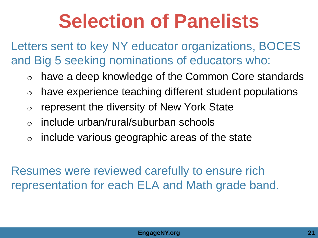### **Selection of Panelists**

Letters sent to key NY educator organizations, BOCES and Big 5 seeking nominations of educators who:

- have a deep knowledge of the Common Core standards
- $\circ$  have experience teaching different student populations
- $\circ$  represent the diversity of New York State
- include urban/rural/suburban schools
- $\circ$  include various geographic areas of the state

Resumes were reviewed carefully to ensure rich representation for each ELA and Math grade band.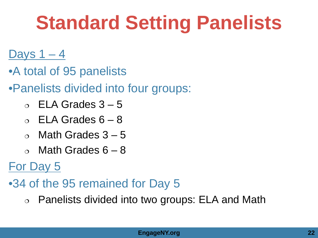## **Standard Setting Panelists**

### <u>Days 1 – 4</u>

- •A total of 95 panelists
- •Panelists divided into four groups:
	- $\circ$  ELA Grades 3 5
	- $\circ$  ELA Grades 6 8
	- $\circ$  Math Grades 3 5
	- $\circ$  Math Grades 6 8

### For Day 5

- •34 of the 95 remained for Day 5
	- Panelists divided into two groups: ELA and Math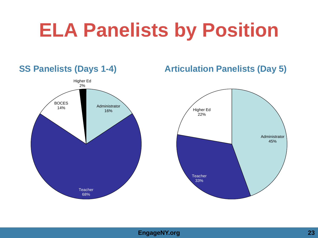## **ELA Panelists by Position**

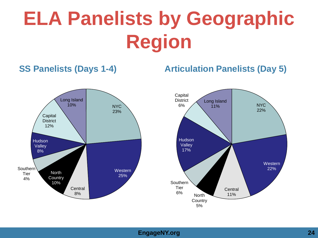## **ELA Panelists by Geographic Region**

#### **SS Panelists (Days 1-4) Articulation Panelists (Day 5)**



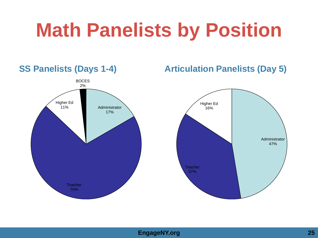## **Math Panelists by Position**



#### **EngageNY.org 25**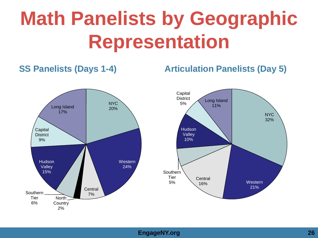## **Math Panelists by Geographic Representation**

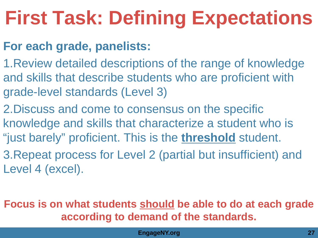## **First Task: Defining Expectations**

### **For each grade, panelists:**

- 1.Review detailed descriptions of the range of knowledge and skills that describe students who are proficient with grade-level standards (Level 3)
- 2.Discuss and come to consensus on the specific knowledge and skills that characterize a student who is "just barely" proficient. This is the **threshold** student.
- 3.Repeat process for Level 2 (partial but insufficient) and Level 4 (excel).

### **Focus is on what students should be able to do at each grade according to demand of the standards.**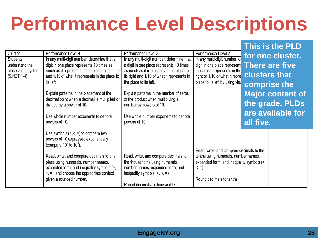## **Performance Level Descriptions**

|                                       |                                                                                                   |                                                                                         |                                                                                  |                   | TNIS IS THE PLD         |
|---------------------------------------|---------------------------------------------------------------------------------------------------|-----------------------------------------------------------------------------------------|----------------------------------------------------------------------------------|-------------------|-------------------------|
| Cluster                               | Performance Level 4                                                                               | Performance Level 3                                                                     | Performance Level 2                                                              |                   | for one cluster.        |
| Students                              | In any multi-digit number, determine that a                                                       | In any multi-digit number, determine that                                               | In any multi-digit number, de                                                    |                   |                         |
| understand the                        | digit in one place represents 10 times as                                                         | a digit in one place represents 10 times                                                | digit in one place represents                                                    |                   | <b>There are five</b>   |
| place value system.<br>$(5.$ NBT.1-4) | much as it represents in the place to its right<br>and 1/10 of what it represents in the place to | as much as it represents in the place to<br>its right and 1/10 of what it represents in | much as it represents in the<br>right or 1/10 of what it repre                   |                   | <b>clusters that</b>    |
|                                       | its left.                                                                                         | the place to its left.                                                                  | place to its left by using visu                                                  |                   |                         |
|                                       |                                                                                                   |                                                                                         |                                                                                  |                   | comprise the            |
|                                       | Explain patterns in the placement of the                                                          | Explain patterns in the number of zeros                                                 |                                                                                  |                   | <b>Major content of</b> |
|                                       | decimal point when a decimal is multiplied or                                                     | of the product when multiplying a                                                       |                                                                                  |                   |                         |
|                                       | divided by a power of 10.                                                                         | number by powers of 10.                                                                 |                                                                                  |                   | the grade. PLDs         |
|                                       |                                                                                                   |                                                                                         |                                                                                  | are available for |                         |
|                                       | Use whole number exponents to denote<br>powers of 10.                                             | Use whole number exponents to denote<br>powers of 10.                                   |                                                                                  | all five.         |                         |
|                                       |                                                                                                   |                                                                                         |                                                                                  |                   |                         |
|                                       | Use symbols $(>,<,=)$ to compare two                                                              |                                                                                         |                                                                                  |                   |                         |
|                                       | powers of 10 expressed exponentially                                                              |                                                                                         |                                                                                  |                   |                         |
|                                       | (compare $10^2$ to $10^5$ ).                                                                      |                                                                                         |                                                                                  |                   |                         |
|                                       | Read, write, and compare decimals to any                                                          | Read, write, and compare decimals to                                                    | Read, write, and compare decimals to the<br>tenths using numerals, number names, |                   |                         |
|                                       | place using numerals, number names,                                                               | the thousandths using numerals,                                                         | expanded form, and inequality symbols (>,                                        |                   |                         |
|                                       | expanded form, and inequality symbols (>,                                                         | number names, expanded form, and                                                        | $<, =$ ).                                                                        |                   |                         |
|                                       | $\leq$ , =), and choose the appropriate context                                                   | inequality symbols $(>, <, =)$ .                                                        |                                                                                  |                   |                         |
|                                       | given a rounded number.                                                                           |                                                                                         | Round decimals to tenths.                                                        |                   |                         |
|                                       |                                                                                                   | Round decimals to thousandths.                                                          |                                                                                  |                   |                         |

**This is the PLD**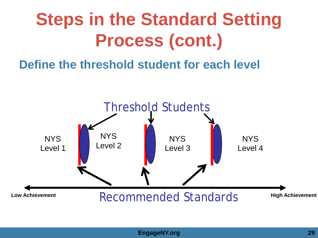### **Steps in the Standard Setting Process (cont.)**

### **Define the threshold student for each level**

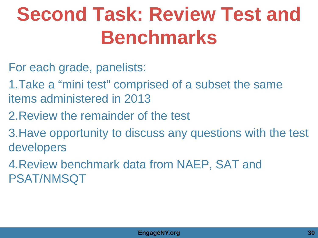## **Second Task: Review Test and Benchmarks**

- For each grade, panelists:
- 1.Take a "mini test" comprised of a subset the same items administered in 2013
- 2.Review the remainder of the test
- 3.Have opportunity to discuss any questions with the test developers
- 4.Review benchmark data from NAEP, SAT and PSAT/NMSQT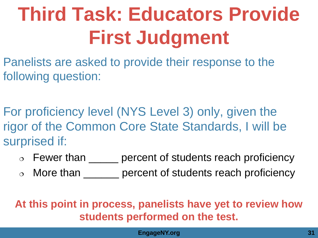## **Third Task: Educators Provide First Judgment**

Panelists are asked to provide their response to the following question:

For proficiency level (NYS Level 3) only, given the rigor of the Common Core State Standards, I will be surprised if:

- $\circ$  Fewer than  $\qquad$  percent of students reach proficiency
- o More than <u>endless</u> percent of students reach proficiency

**At this point in process, panelists have yet to review how students performed on the test.**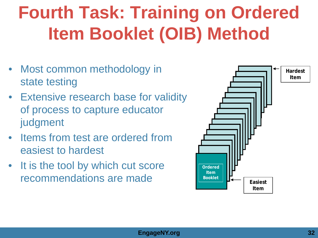### **Fourth Task: Training on Ordered Item Booklet (OIB) Method**

- Most common methodology in state testing
- Extensive research base for validity of process to capture educator judgment
- **Items from test are ordered from** easiest to hardest
- It is the tool by which cut score recommendations are made

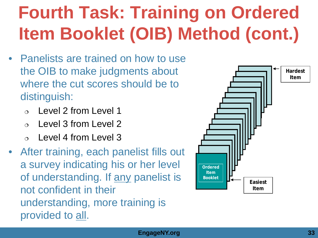### **Fourth Task: Training on Ordered Item Booklet (OIB) Method (cont.)**

- Panelists are trained on how to use the OIB to make judgments about where the cut scores should be to distinguish:
	- Level 2 from Level 1
	- Level 3 from Level 2
	- Level 4 from Level 3
- After training, each panelist fills out a survey indicating his or her level of understanding. If any panelist is not confident in their understanding, more training is provided to all.

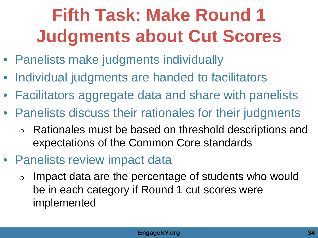### **Fifth Task: Make Round 1 Judgments about Cut Scores**

- Panelists make judgments individually
- Individual judgments are handed to facilitators
- Facilitators aggregate data and share with panelists
- Panelists discuss their rationales for their judgments
	- Rationales must be based on threshold descriptions and expectations of the Common Core standards
- Panelists review impact data
	- $\circ$  Impact data are the percentage of students who would be in each category if Round 1 cut scores were implemented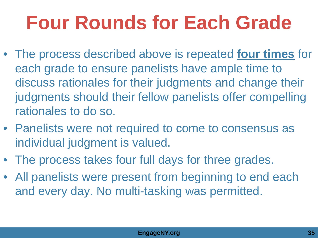## **Four Rounds for Each Grade**

- The process described above is repeated **four times** for each grade to ensure panelists have ample time to discuss rationales for their judgments and change their judgments should their fellow panelists offer compelling rationales to do so.
- Panelists were not required to come to consensus as individual judgment is valued.
- The process takes four full days for three grades.
- All panelists were present from beginning to end each and every day. No multi-tasking was permitted.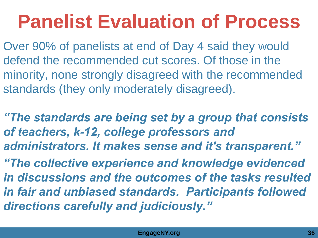## **Panelist Evaluation of Process**

Over 90% of panelists at end of Day 4 said they would defend the recommended cut scores. Of those in the minority, none strongly disagreed with the recommended standards (they only moderately disagreed).

*"The standards are being set by a group that consists of teachers, k-12, college professors and administrators. It makes sense and it's transparent."* 

*"The collective experience and knowledge evidenced in discussions and the outcomes of the tasks resulted in fair and unbiased standards. Participants followed directions carefully and judiciously."*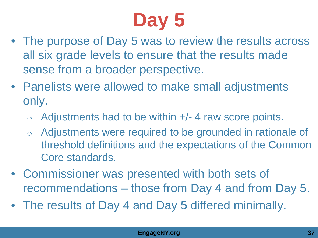# **Day 5**

- The purpose of Day 5 was to review the results across all six grade levels to ensure that the results made sense from a broader perspective.
- Panelists were allowed to make small adjustments only.
	- $\circ$  Adjustments had to be within  $+/-$  4 raw score points.
	- Adjustments were required to be grounded in rationale of threshold definitions and the expectations of the Common Core standards.
- Commissioner was presented with both sets of recommendations – those from Day 4 and from Day 5.
- The results of Day 4 and Day 5 differed minimally.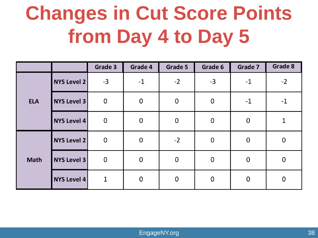## **Changes in Cut Score Points from Day 4 to Day 5**

|             |                    | Grade 3      | Grade 4     | Grade 5          | Grade 6     | <b>Grade 7</b> | Grade 8      |
|-------------|--------------------|--------------|-------------|------------------|-------------|----------------|--------------|
| <b>ELA</b>  | <b>NYS Level 2</b> | $-3$         | $-1$        | $-2$             | $-3$        | $-1$           | $-2$         |
|             | <b>NYS Level 3</b> | $\mathbf 0$  | $\pmb{0}$   | $\pmb{0}$        | $\pmb{0}$   | $-1$           | $-1$         |
|             | <b>NYS Level 4</b> | $\mathbf 0$  | $\mathbf 0$ | $\pmb{0}$        | $\mathbf 0$ | $\mathbf 0$    | $\mathbf{1}$ |
| <b>Math</b> | <b>NYS Level 2</b> | $\mathbf 0$  | $\mathbf 0$ | $-2$             | $\mathbf 0$ | $\pmb{0}$      | $\mathbf 0$  |
|             | <b>NYS Level 3</b> | $\mathbf 0$  | $\mathbf 0$ | $\mathbf 0$      | $\mathbf 0$ | $\mathbf 0$    | 0            |
|             | <b>NYS Level 4</b> | $\mathbf{1}$ | $\mathbf 0$ | $\boldsymbol{0}$ | $\mathbf 0$ | $\mathbf 0$    | $\mathbf 0$  |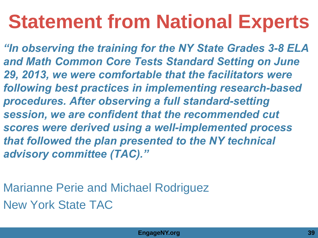## **Statement from National Experts**

*"In observing the training for the NY State Grades 3-8 ELA and Math Common Core Tests Standard Setting on June 29, 2013, we were comfortable that the facilitators were following best practices in implementing research-based procedures. After observing a full standard-setting session, we are confident that the recommended cut scores were derived using a well-implemented process that followed the plan presented to the NY technical advisory committee (TAC)."* 

Marianne Perie and Michael Rodriguez New York State TAC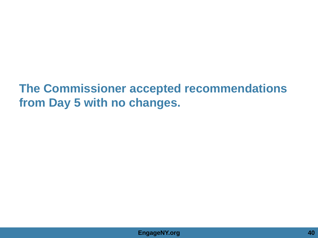### **The Commissioner accepted recommendations from Day 5 with no changes.**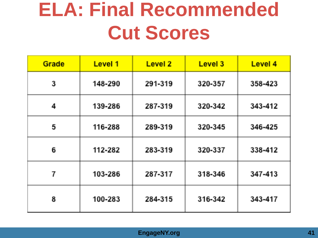### **ELA: Final Recommended Cut Scores**

| Grade | <b>Level 1</b> | <b>Level 2</b> | Level 3 | Level 4 |
|-------|----------------|----------------|---------|---------|
| 3     | 148-290        | 291-319        | 320-357 | 358-423 |
| 4     | 139-286        | 287-319        | 320-342 | 343-412 |
| 5     | 116-288        | 289-319        | 320-345 | 346-425 |
| 6     | 112-282        | 283-319        | 320-337 | 338-412 |
| 7     | 103-286        | 287-317        | 318-346 | 347-413 |
| 8     | 100-283        | 284-315        | 316-342 | 343-417 |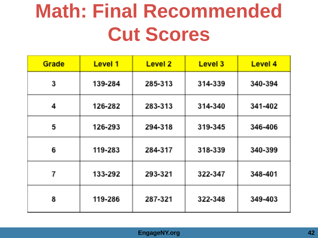### **Math: Final Recommended Cut Scores**

| Grade | Level 1 | <b>Level 2</b> | Level 3 | Level 4 |
|-------|---------|----------------|---------|---------|
| 3     | 139-284 | 285-313        | 314-339 | 340-394 |
| 4     | 126-282 | 283-313        | 314-340 | 341-402 |
| 5     | 126-293 | 294-318        | 319-345 | 346-406 |
| 6     | 119-283 | 284-317        | 318-339 | 340-399 |
| 7     | 133-292 | 293-321        | 322-347 | 348-401 |
| 8     | 119-286 | 287-321        | 322-348 | 349-403 |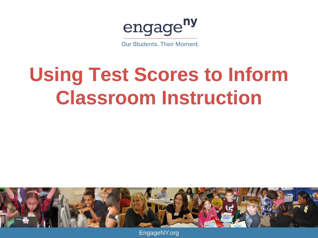engage<sup>ny</sup>

**Our Students, Their Moment.** 

## **Using Test Scores to Inform Classroom Instruction**



EngageNY.org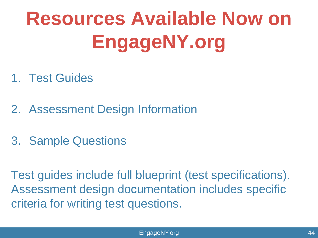# **Resources Available Now on EngageNY.org**

- 1. Test Guides
- 2. Assessment Design Information
- 3. Sample Questions

Test guides include full blueprint (test specifications). Assessment design documentation includes specific criteria for writing test questions.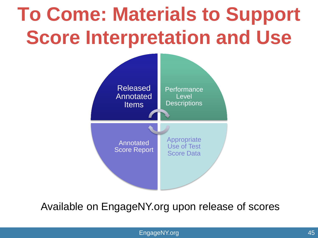## **To Come: Materials to Support Score Interpretation and Use**



#### Available on EngageNY.org upon release of scores